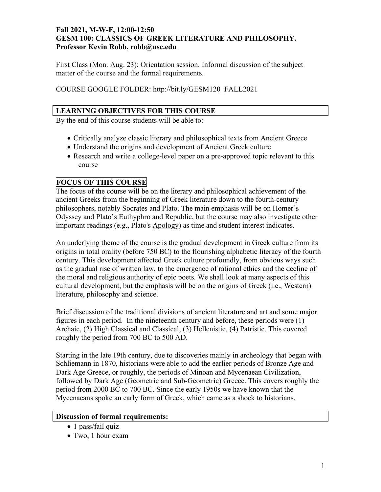### **Fall 2021, M-W-F, 12:00-12:50 GESM 100: CLASSICS OF GREEK LITERATURE AND PHILOSOPHY. Professor Kevin Robb, robb@usc.edu**

First Class (Mon. Aug. 23): Orientation session. Informal discussion of the subject matter of the course and the formal requirements.

COURSE GOOGLE FOLDER: http://bit.ly/GESM120\_FALL2021

#### **LEARNING OBJECTIVES FOR THIS COURSE**

By the end of this course students will be able to:

- Critically analyze classic literary and philosophical texts from Ancient Greece
- Understand the origins and development of Ancient Greek culture
- Research and write a college-level paper on a pre-approved topic relevant to this course

## **FOCUS OF THIS COURSE**

The focus of the course will be on the literary and philosophical achievement of the ancient Greeks from the beginning of Greek literature down to the fourth-century philosophers, notably Socrates and Plato. The main emphasis will be on Homer's Odyssey and Plato's Euthyphro and Republic, but the course may also investigate other important readings (e.g., Plato's Apology) as time and student interest indicates.

An underlying theme of the course is the gradual development in Greek culture from its origins in total orality (before 750 BC) to the flourishing alphabetic literacy of the fourth century. This development affected Greek culture profoundly, from obvious ways such as the gradual rise of written law, to the emergence of rational ethics and the decline of the moral and religious authority of epic poets. We shall look at many aspects of this cultural development, but the emphasis will be on the origins of Greek (i.e., Western) literature, philosophy and science.

Brief discussion of the traditional divisions of ancient literature and art and some major figures in each period. In the nineteenth century and before, these periods were (1) Archaic, (2) High Classical and Classical, (3) Hellenistic, (4) Patristic. This covered roughly the period from 700 BC to 500 AD.

Starting in the late 19th century, due to discoveries mainly in archeology that began with Schliemann in 1870, historians were able to add the earlier periods of Bronze Age and Dark Age Greece, or roughly, the periods of Minoan and Mycenaean Civilization, followed by Dark Age (Geometric and Sub-Geometric) Greece. This covers roughly the period from 2000 BC to 700 BC. Since the early 1950s we have known that the Mycenaeans spoke an early form of Greek, which came as a shock to historians.

#### **Discussion of formal requirements:**

- 1 pass/fail quiz
- Two, 1 hour exam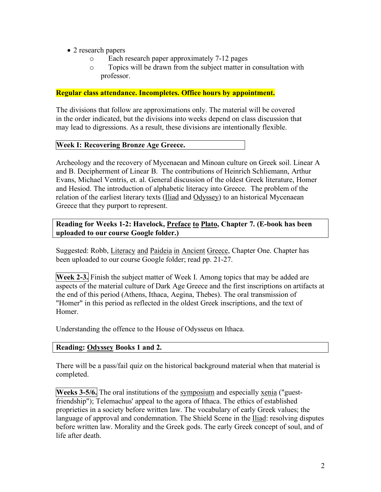- 2 research papers
	- o Each research paper approximately 7-12 pages
	- o Topics will be drawn from the subject matter in consultation with professor.

#### **Regular class attendance. Incompletes. Office hours by appointment.**

The divisions that follow are approximations only. The material will be covered in the order indicated, but the divisions into weeks depend on class discussion that may lead to digressions. As a result, these divisions are intentionally flexible.

#### **Week I: Recovering Bronze Age Greece.**

Archeology and the recovery of Mycenaean and Minoan culture on Greek soil. Linear A and B. Decipherment of Linear B. The contributions of Heinrich Schliemann, Arthur Evans, Michael Ventris, et. al. General discussion of the oldest Greek literature, Homer and Hesiod. The introduction of alphabetic literacy into Greece. The problem of the relation of the earliest literary texts (Iliad and Odyssey) to an historical Mycenaean Greece that they purport to represent.

### **Reading for Weeks 1-2: Havelock, Preface to Plato, Chapter 7. (E-book has been uploaded to our course Google folder.)**

Suggested: Robb, Literacy and Paideia in Ancient Greece, Chapter One. Chapter has been uploaded to our course Google folder; read pp. 21-27.

**Week 2-3.** Finish the subject matter of Week I. Among topics that may be added are aspects of the material culture of Dark Age Greece and the first inscriptions on artifacts at the end of this period (Athens, Ithaca, Aegina, Thebes). The oral transmission of "Homer" in this period as reflected in the oldest Greek inscriptions, and the text of Homer.

Understanding the offence to the House of Odysseus on Ithaca.

#### **Reading: Odyssey Books 1 and 2.**

There will be a pass/fail quiz on the historical background material when that material is completed.

**Weeks 3-5/6.** The oral institutions of the symposium and especially xenia ("guestfriendship"); Telemachus' appeal to the agora of Ithaca. The ethics of established proprieties in a society before written law. The vocabulary of early Greek values; the language of approval and condemnation. The Shield Scene in the Iliad: resolving disputes before written law. Morality and the Greek gods. The early Greek concept of soul, and of life after death.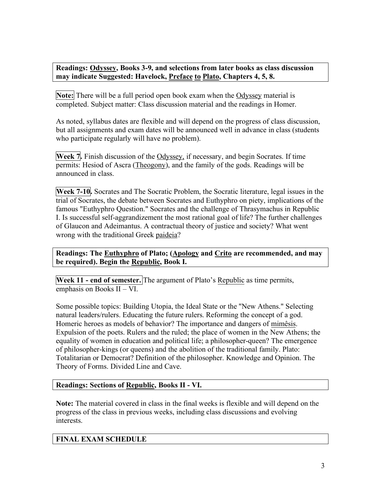**Readings: Odyssey, Books 3-9, and selections from later books as class discussion may indicate Suggested: Havelock, Preface to Plato, Chapters 4, 5, 8.**

**Note:** There will be a full period open book exam when the Odyssey material is completed. Subject matter: Class discussion material and the readings in Homer.

As noted, syllabus dates are flexible and will depend on the progress of class discussion, but all assignments and exam dates will be announced well in advance in class (students who participate regularly will have no problem).

**Week 7.** Finish discussion of the Odyssey, if necessary, and begin Socrates. If time permits: Hesiod of Ascra (Theogony), and the family of the gods. Readings will be announced in class.

**Week 7-10.** Socrates and The Socratic Problem, the Socratic literature, legal issues in the trial of Socrates, the debate between Socrates and Euthyphro on piety, implications of the famous "Euthyphro Question." Socrates and the challenge of Thrasymachus in Republic I. Is successful self-aggrandizement the most rational goal of life? The further challenges of Glaucon and Adeimantus. A contractual theory of justice and society? What went wrong with the traditional Greek paideia?

**Readings: The Euthyphro of Plato; (Apology and Crito are recommended, and may be required). Begin the Republic, Book I.**

**Week 11 - end of semester.** The argument of Plato's Republic as time permits, emphasis on Books II – VI.

Some possible topics: Building Utopia, the Ideal State or the "New Athens." Selecting natural leaders/rulers. Educating the future rulers. Reforming the concept of a god. Homeric heroes as models of behavior? The importance and dangers of mimêsis. Expulsion of the poets. Rulers and the ruled; the place of women in the New Athens; the equality of women in education and political life; a philosopher-queen? The emergence of philosopher-kings (or queens) and the abolition of the traditional family. Plato: Totalitarian or Democrat? Definition of the philosopher. Knowledge and Opinion. The Theory of Forms. Divided Line and Cave.

### **Readings: Sections of Republic, Books II - VI.**

**Note:** The material covered in class in the final weeks is flexible and will depend on the progress of the class in previous weeks, including class discussions and evolving interests.

# **FINAL EXAM SCHEDULE**